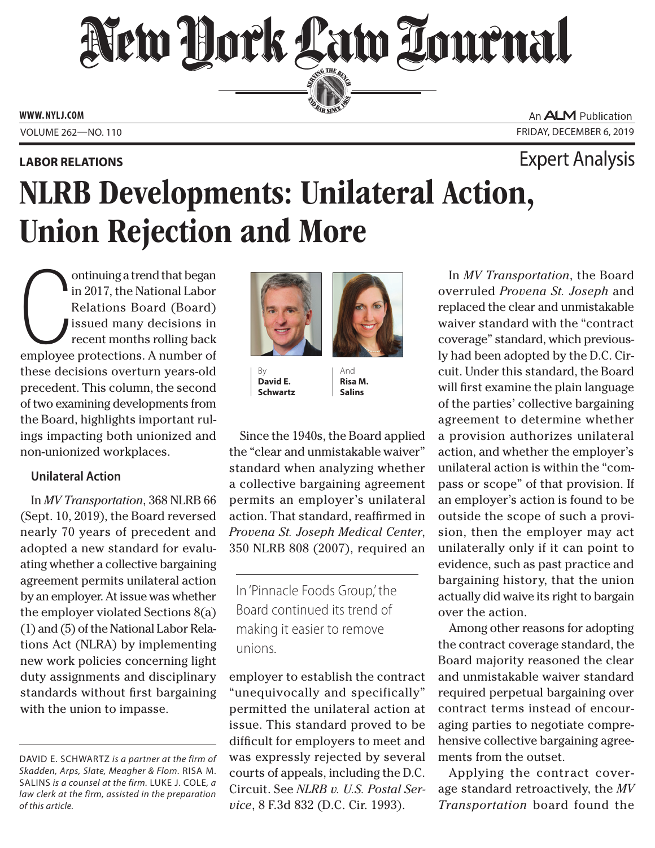# New Hork Law Tournal SERVING THE BEN

**ED BAR SINCE 188** 

**WWW. NYLJ.COM** 

## **LABOR RELATIONS** Expert Analysis

An **ALM** Publication VOLUME 262—NO. 110 **FRIDAY, DECEMBER 6, 2019** 

# NLRB Developments: Unilateral Action, Union Rejection and More

 the Board, highlights important rulontinuing a trend that began<br>in 2017, the National Labor<br>Relations Board (Board)<br>issued many decisions in<br>recent months rolling back<br>employee protections. A number of ontinuing a trend that began in 2017, the National Labor Relations Board (Board) issued many decisions in recent months rolling back these decisions overturn years-old precedent. This column, the second of two examining developments from ings impacting both unionized and non-unionized workplaces.

### **Unilateral Action**

In *MV Transportation*, 368 NLRB 66 (Sept. 10, 2019), the Board reversed nearly 70 years of precedent and adopted a new standard for evaluating whether a collective bargaining agreement permits unilateral action by an employer. At issue was whether the employer violated Sections 8(a) (1) and (5) of the National Labor Relations Act (NLRA) by implementing new work policies concerning light duty assignments and disciplinary standards without frst bargaining with the union to impasse.





 $\begin{array}{c|c}\n\text{By} \\
\text{David E.} \\
\end{array}$   $\begin{array}{c|c}\n\end{array}$  And David E. Schwartz | Salins

Since the 1940s, the Board applied the "clear and unmistakable waiver" standard when analyzing whether a collective bargaining agreement permits an employer's unilateral action. That standard, reaffrmed in *Provena St. Joseph Medical Center*, 350 NLRB 808 (2007), required an

In 'Pinnacle Foods Group,' the Board continued its trend of making it easier to remove unions.

employer to establish the contract "unequivocally and specifically" permitted the unilateral action at issue. This standard proved to be diffcult for employers to meet and was expressly rejected by several courts of appeals, including the D.C. Circuit. See *NLRB v. U.S. Postal Service*, 8 F.3d 832 (D.C. Cir. 1993).

 evidence, such as past practice and In *MV Transportation*, the Board overruled *Provena St. Joseph* and replaced the clear and unmistakable waiver standard with the "contract coverage" standard, which previously had been adopted by the D.C. Circuit. Under this standard, the Board will frst examine the plain language of the parties' collective bargaining agreement to determine whether a provision authorizes unilateral action, and whether the employer's unilateral action is within the "compass or scope" of that provision. If an employer's action is found to be outside the scope of such a provision, then the employer may act unilaterally only if it can point to bargaining history, that the union actually did waive its right to bargain over the action.

 Among other reasons for adopting the contract coverage standard, the Board majority reasoned the clear and unmistakable waiver standard required perpetual bargaining over contract terms instead of encouraging parties to negotiate comprehensive collective bargaining agreements from the outset.

Applying the contract coverage standard retroactively, the *MV Transportation* board found the

 *Skadden, Arps, Slate, Meagher & Flom.* riSa m. DAVID E. SCHWARTZ is a partner at the firm of SaliNS *is a counsel at the firm.* luke J. cole*, a law clerk at the firm, assisted in the preparation of this article.*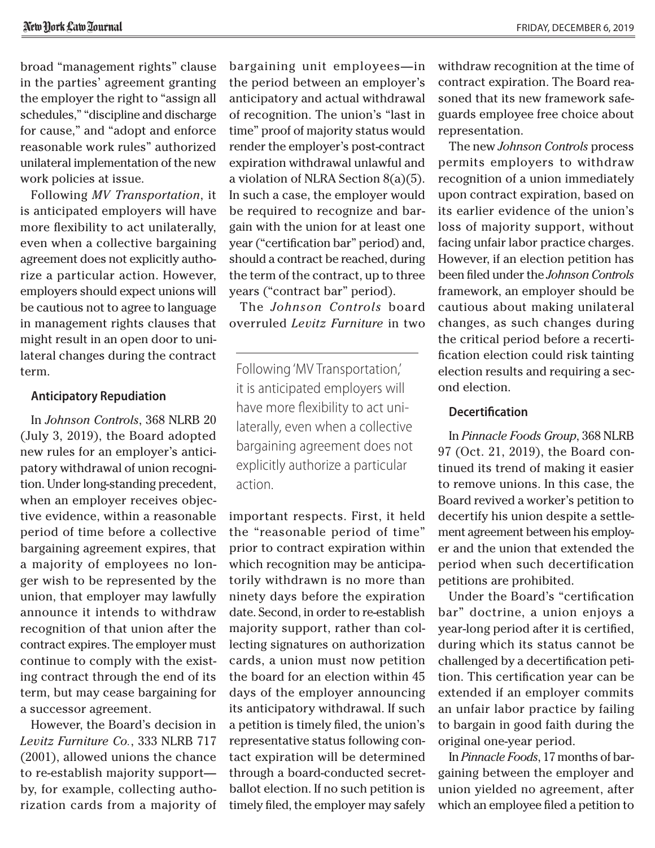for cause," and "adopt and enforce unilateral implementation of the new broad "management rights" clause in the parties' agreement granting the employer the right to "assign all schedules," "discipline and discharge reasonable work rules" authorized work policies at issue.

Following *MV Transportation*, it is anticipated employers will have more fexibility to act unilaterally, even when a collective bargaining agreement does not explicitly authorize a particular action. However, employers should expect unions will be cautious not to agree to language in management rights clauses that might result in an open door to unilateral changes during the contract term.

#### **Anticipatory Repudiation**

In *Johnson Controls*, 368 NLRB 20 (July 3, 2019), the Board adopted new rules for an employer's anticipatory withdrawal of union recognition. Under long-standing precedent, when an employer receives objective evidence, within a reasonable period of time before a collective bargaining agreement expires, that a majority of employees no longer wish to be represented by the union, that employer may lawfully announce it intends to withdraw recognition of that union after the contract expires. The employer must continue to comply with the existing contract through the end of its term, but may cease bargaining for a successor agreement.

 However, the Board's decision in *Levitz Furniture Co.*, 333 NLRB 717 (2001), allowed unions the chance to re-establish majority support by, for example, collecting authorization cards from a majority of

bargaining unit employees—in the period between an employer's anticipatory and actual withdrawal of recognition. The union's "last in time" proof of majority status would render the employer's post-contract expiration withdrawal unlawful and a violation of NLRA Section 8(a)(5). In such a case, the employer would be required to recognize and bargain with the union for at least one year ("certifcation bar" period) and, should a contract be reached, during the term of the contract, up to three years ("contract bar" period).

The *Johnson Controls* board overruled *Levitz Furniture* in two

Following 'MV Transportation,' it is anticipated employers will have more fexibility to act unilaterally, even when a collective bargaining agreement does not explicitly authorize a particular action.

 representative status following conimportant respects. First, it held the "reasonable period of time" prior to contract expiration within which recognition may be anticipatorily withdrawn is no more than ninety days before the expiration date. Second, in order to re-establish majority support, rather than collecting signatures on authorization cards, a union must now petition the board for an election within 45 days of the employer announcing its anticipatory withdrawal. If such a petition is timely fled, the union's tact expiration will be determined through a board-conducted secretballot election. If no such petition is timely fled, the employer may safely

withdraw recognition at the time of contract expiration. The Board reasoned that its new framework safeguards employee free choice about representation.

 fcation election could risk tainting The new *Johnson Controls* process permits employers to withdraw recognition of a union immediately upon contract expiration, based on its earlier evidence of the union's loss of majority support, without facing unfair labor practice charges. However, if an election petition has been fled under the *Johnson Controls*  framework, an employer should be cautious about making unilateral changes, as such changes during the critical period before a recertielection results and requiring a second election.

#### **Decertifcation**

In *Pinnacle Foods Group*, 368 NLRB 97 (Oct. 21, 2019), the Board continued its trend of making it easier to remove unions. In this case, the Board revived a worker's petition to decertify his union despite a settlement agreement between his employer and the union that extended the period when such decertification petitions are prohibited.

Under the Board's "certifcation bar" doctrine, a union enjoys a year-long period after it is certifed, during which its status cannot be challenged by a decertifcation petition. This certifcation year can be extended if an employer commits an unfair labor practice by failing to bargain in good faith during the original one-year period.

In *Pinnacle Foods*, 17 months of bargaining between the employer and union yielded no agreement, after which an employee fled a petition to